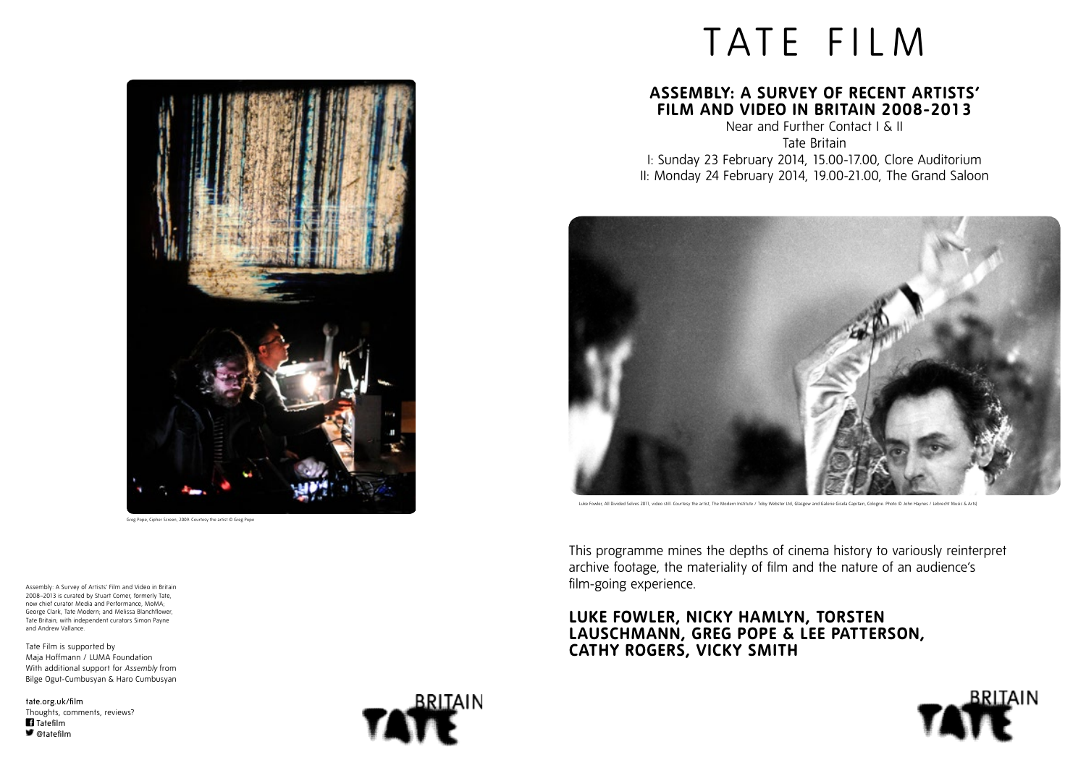# **Assembly: A Survey of Recent Artists' Film and Video in Britain 2008-2013**

Near and Further Contact I & II Tate Britain I: Sunday 23 February 2014, 15.00-17.00, Clore Auditorium II: Monday 24 February 2014, 19.00-21.00, The Grand Saloon



Luke Fowler, All Divided Selves 2011, video still. Courtesy the artist, The Modern Institute / Toby Webster Ltd, Glasgow and Galerie Gisela Capitain, Cologne. Photo © John Haynes / Lebrecht Music & Arts]





# **LUKE FOWLER, NICKY HAMLYN, TORSTEN LAUSCHMANN, GREG POPE & LEE PATTERSON, CATHY ROGERS, VICKY SMITH**



tate.org.uk/film Thoughts, comments, reviews? **Tatefilm** ■ @tatefilm



Assembly: A Survey of Artists' Film and Video in Britain 2008–2013 is curated by Stuart Comer, formerly Tate, now chief curator Media and Performance, MoMA; George Clark, Tate Modern; and Melissa Blanchflower, Tate Britain; with independent curators Simon Payne and Andrew Vallance.

Tate Film is supported by Maja Hoffmann / LUMA Foundation With additional support for *Assembly* from Bilge Ogut-Cumbusyan & Haro Cumbusyan This programme mines the depths of cinema history to variously reinterpret archive footage, the materiality of film and the nature of an audience's film-going experience.

Greg Pope, Cipher Screen, 2009. Courtesy the artist © Greg Pope